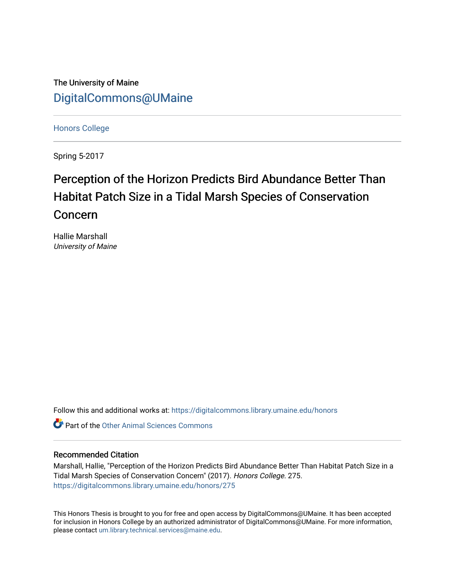The University of Maine [DigitalCommons@UMaine](https://digitalcommons.library.umaine.edu/)

[Honors College](https://digitalcommons.library.umaine.edu/honors)

Spring 5-2017

# Perception of the Horizon Predicts Bird Abundance Better Than Habitat Patch Size in a Tidal Marsh Species of Conservation Concern

Hallie Marshall University of Maine

Follow this and additional works at: [https://digitalcommons.library.umaine.edu/honors](https://digitalcommons.library.umaine.edu/honors?utm_source=digitalcommons.library.umaine.edu%2Fhonors%2F275&utm_medium=PDF&utm_campaign=PDFCoverPages) 

**Part of the [Other Animal Sciences Commons](http://network.bepress.com/hgg/discipline/82?utm_source=digitalcommons.library.umaine.edu%2Fhonors%2F275&utm_medium=PDF&utm_campaign=PDFCoverPages)** 

#### Recommended Citation

Marshall, Hallie, "Perception of the Horizon Predicts Bird Abundance Better Than Habitat Patch Size in a Tidal Marsh Species of Conservation Concern" (2017). Honors College. 275. [https://digitalcommons.library.umaine.edu/honors/275](https://digitalcommons.library.umaine.edu/honors/275?utm_source=digitalcommons.library.umaine.edu%2Fhonors%2F275&utm_medium=PDF&utm_campaign=PDFCoverPages) 

This Honors Thesis is brought to you for free and open access by DigitalCommons@UMaine. It has been accepted for inclusion in Honors College by an authorized administrator of DigitalCommons@UMaine. For more information, please contact [um.library.technical.services@maine.edu.](mailto:um.library.technical.services@maine.edu)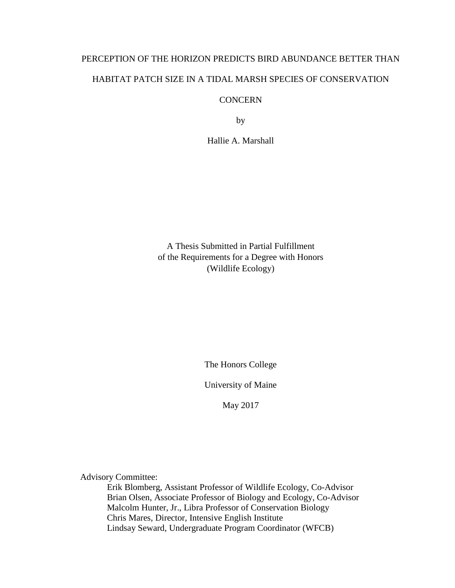# PERCEPTION OF THE HORIZON PREDICTS BIRD ABUNDANCE BETTER THAN HABITAT PATCH SIZE IN A TIDAL MARSH SPECIES OF CONSERVATION

### **CONCERN**

by

Hallie A. Marshall

A Thesis Submitted in Partial Fulfillment of the Requirements for a Degree with Honors (Wildlife Ecology)

The Honors College

University of Maine

May 2017

Advisory Committee:

Erik Blomberg, Assistant Professor of Wildlife Ecology, Co-Advisor Brian Olsen, Associate Professor of Biology and Ecology, Co-Advisor Malcolm Hunter, Jr., Libra Professor of Conservation Biology Chris Mares, Director, Intensive English Institute Lindsay Seward, Undergraduate Program Coordinator (WFCB)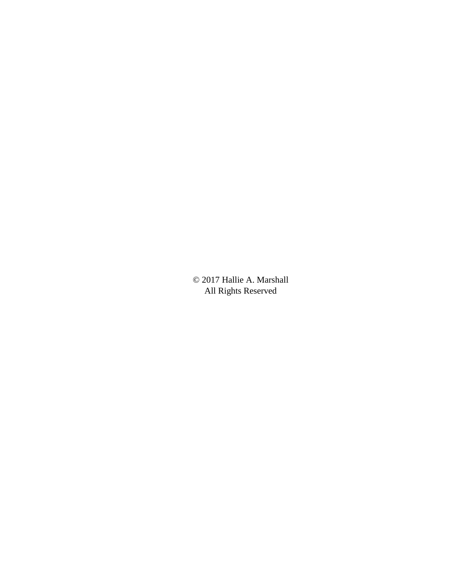© 2017 Hallie A. Marshall All Rights Reserved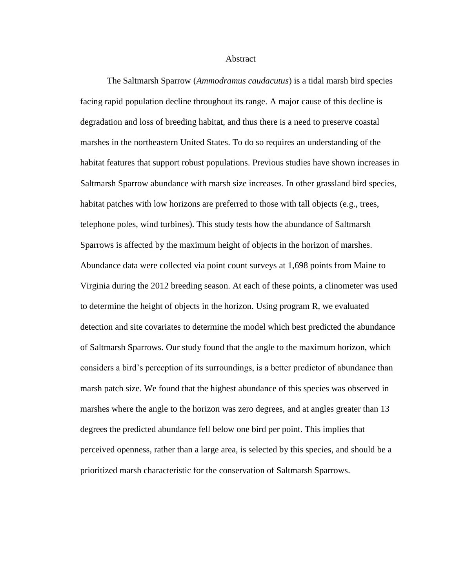#### **Abstract**

The Saltmarsh Sparrow (*Ammodramus caudacutus*) is a tidal marsh bird species facing rapid population decline throughout its range. A major cause of this decline is degradation and loss of breeding habitat, and thus there is a need to preserve coastal marshes in the northeastern United States. To do so requires an understanding of the habitat features that support robust populations. Previous studies have shown increases in Saltmarsh Sparrow abundance with marsh size increases. In other grassland bird species, habitat patches with low horizons are preferred to those with tall objects (e.g., trees, telephone poles, wind turbines). This study tests how the abundance of Saltmarsh Sparrows is affected by the maximum height of objects in the horizon of marshes. Abundance data were collected via point count surveys at 1,698 points from Maine to Virginia during the 2012 breeding season. At each of these points, a clinometer was used to determine the height of objects in the horizon. Using program R, we evaluated detection and site covariates to determine the model which best predicted the abundance of Saltmarsh Sparrows. Our study found that the angle to the maximum horizon, which considers a bird's perception of its surroundings, is a better predictor of abundance than marsh patch size. We found that the highest abundance of this species was observed in marshes where the angle to the horizon was zero degrees, and at angles greater than 13 degrees the predicted abundance fell below one bird per point. This implies that perceived openness, rather than a large area, is selected by this species, and should be a prioritized marsh characteristic for the conservation of Saltmarsh Sparrows.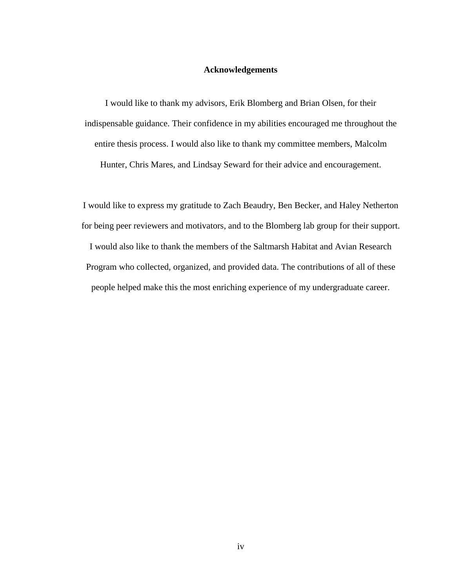#### **Acknowledgements**

I would like to thank my advisors, Erik Blomberg and Brian Olsen, for their indispensable guidance. Their confidence in my abilities encouraged me throughout the entire thesis process. I would also like to thank my committee members, Malcolm Hunter, Chris Mares, and Lindsay Seward for their advice and encouragement.

I would like to express my gratitude to Zach Beaudry, Ben Becker, and Haley Netherton for being peer reviewers and motivators, and to the Blomberg lab group for their support. I would also like to thank the members of the Saltmarsh Habitat and Avian Research Program who collected, organized, and provided data. The contributions of all of these people helped make this the most enriching experience of my undergraduate career.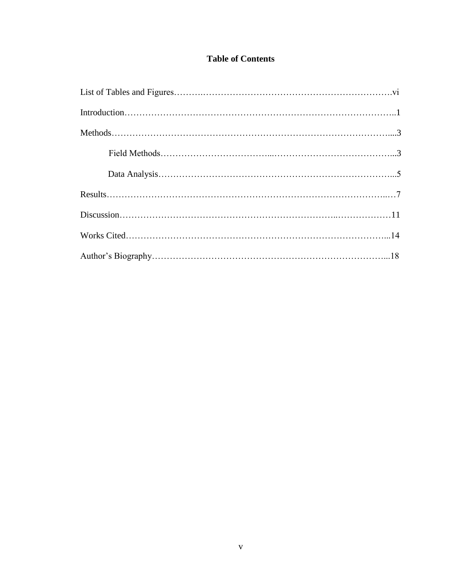### **Table of Contents**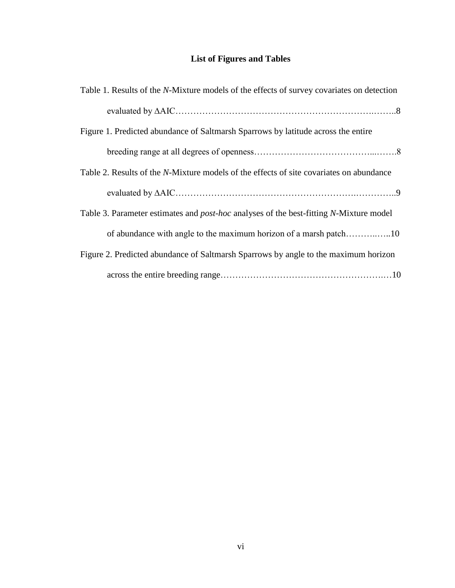## **List of Figures and Tables**

| Table 1. Results of the <i>N</i> -Mixture models of the effects of survey covariates on detection |
|---------------------------------------------------------------------------------------------------|
|                                                                                                   |
| Figure 1. Predicted abundance of Saltmarsh Sparrows by latitude across the entire                 |
|                                                                                                   |
| Table 2. Results of the <i>N</i> -Mixture models of the effects of site covariates on abundance   |
|                                                                                                   |
| Table 3. Parameter estimates and <i>post-hoc</i> analyses of the best-fitting N-Mixture model     |
|                                                                                                   |
| Figure 2. Predicted abundance of Saltmarsh Sparrows by angle to the maximum horizon               |
|                                                                                                   |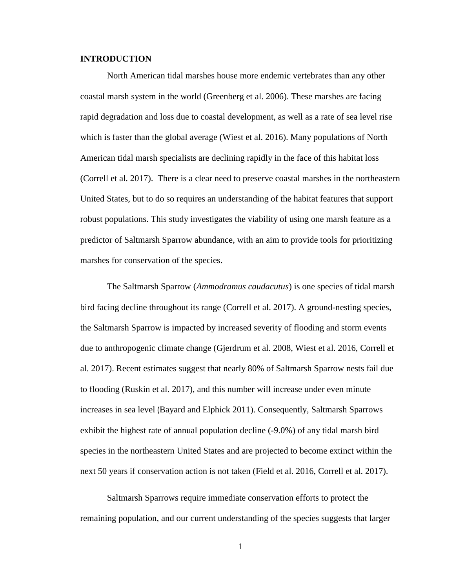#### **INTRODUCTION**

North American tidal marshes house more endemic vertebrates than any other coastal marsh system in the world (Greenberg et al. 2006). These marshes are facing rapid degradation and loss due to coastal development, as well as a rate of sea level rise which is faster than the global average (Wiest et al. 2016). Many populations of North American tidal marsh specialists are declining rapidly in the face of this habitat loss (Correll et al. 2017). There is a clear need to preserve coastal marshes in the northeastern United States, but to do so requires an understanding of the habitat features that support robust populations. This study investigates the viability of using one marsh feature as a predictor of Saltmarsh Sparrow abundance, with an aim to provide tools for prioritizing marshes for conservation of the species.

The Saltmarsh Sparrow (*Ammodramus caudacutus*) is one species of tidal marsh bird facing decline throughout its range (Correll et al. 2017). A ground-nesting species, the Saltmarsh Sparrow is impacted by increased severity of flooding and storm events due to anthropogenic climate change (Gjerdrum et al. 2008, Wiest et al. 2016, Correll et al. 2017). Recent estimates suggest that nearly 80% of Saltmarsh Sparrow nests fail due to flooding (Ruskin et al. 2017), and this number will increase under even minute increases in sea level (Bayard and Elphick 2011). Consequently, Saltmarsh Sparrows exhibit the highest rate of annual population decline (-9.0%) of any tidal marsh bird species in the northeastern United States and are projected to become extinct within the next 50 years if conservation action is not taken (Field et al. 2016, Correll et al. 2017).

Saltmarsh Sparrows require immediate conservation efforts to protect the remaining population, and our current understanding of the species suggests that larger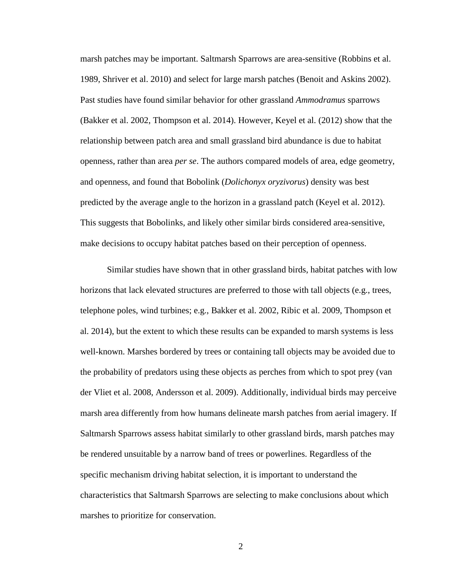marsh patches may be important. Saltmarsh Sparrows are area-sensitive (Robbins et al. 1989, Shriver et al. 2010) and select for large marsh patches (Benoit and Askins 2002). Past studies have found similar behavior for other grassland *Ammodramus* sparrows (Bakker et al. 2002, Thompson et al. 2014). However, Keyel et al. (2012) show that the relationship between patch area and small grassland bird abundance is due to habitat openness, rather than area *per se*. The authors compared models of area, edge geometry, and openness, and found that Bobolink (*Dolichonyx oryzivorus*) density was best predicted by the average angle to the horizon in a grassland patch (Keyel et al. 2012). This suggests that Bobolinks, and likely other similar birds considered area-sensitive, make decisions to occupy habitat patches based on their perception of openness.

Similar studies have shown that in other grassland birds, habitat patches with low horizons that lack elevated structures are preferred to those with tall objects (e.g., trees, telephone poles, wind turbines; e.g., Bakker et al. 2002, Ribic et al. 2009, Thompson et al. 2014), but the extent to which these results can be expanded to marsh systems is less well-known. Marshes bordered by trees or containing tall objects may be avoided due to the probability of predators using these objects as perches from which to spot prey (van der Vliet et al. 2008, Andersson et al. 2009). Additionally, individual birds may perceive marsh area differently from how humans delineate marsh patches from aerial imagery. If Saltmarsh Sparrows assess habitat similarly to other grassland birds, marsh patches may be rendered unsuitable by a narrow band of trees or powerlines. Regardless of the specific mechanism driving habitat selection, it is important to understand the characteristics that Saltmarsh Sparrows are selecting to make conclusions about which marshes to prioritize for conservation.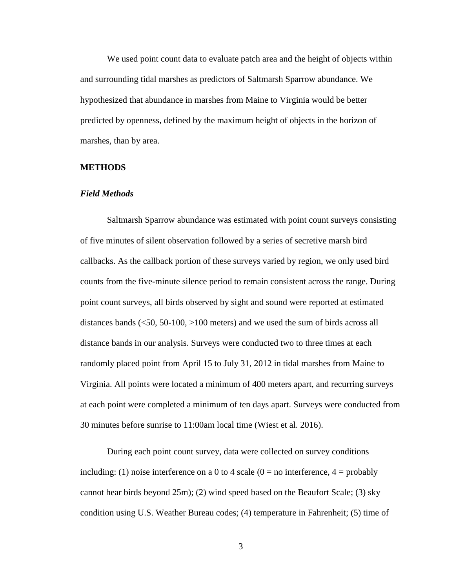We used point count data to evaluate patch area and the height of objects within and surrounding tidal marshes as predictors of Saltmarsh Sparrow abundance. We hypothesized that abundance in marshes from Maine to Virginia would be better predicted by openness, defined by the maximum height of objects in the horizon of marshes, than by area.

#### **METHODS**

#### *Field Methods*

Saltmarsh Sparrow abundance was estimated with point count surveys consisting of five minutes of silent observation followed by a series of secretive marsh bird callbacks. As the callback portion of these surveys varied by region, we only used bird counts from the five-minute silence period to remain consistent across the range. During point count surveys, all birds observed by sight and sound were reported at estimated distances bands (<50, 50-100, >100 meters) and we used the sum of birds across all distance bands in our analysis. Surveys were conducted two to three times at each randomly placed point from April 15 to July 31, 2012 in tidal marshes from Maine to Virginia. All points were located a minimum of 400 meters apart, and recurring surveys at each point were completed a minimum of ten days apart. Surveys were conducted from 30 minutes before sunrise to 11:00am local time (Wiest et al. 2016).

During each point count survey, data were collected on survey conditions including: (1) noise interference on a 0 to 4 scale ( $0 =$  no interference,  $4 =$  probably cannot hear birds beyond 25m); (2) wind speed based on the Beaufort Scale; (3) sky condition using U.S. Weather Bureau codes; (4) temperature in Fahrenheit; (5) time of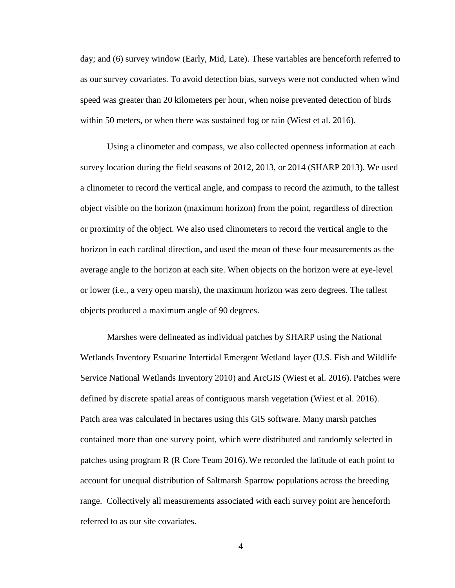day; and (6) survey window (Early, Mid, Late). These variables are henceforth referred to as our survey covariates. To avoid detection bias, surveys were not conducted when wind speed was greater than 20 kilometers per hour, when noise prevented detection of birds within 50 meters, or when there was sustained fog or rain (Wiest et al. 2016).

Using a clinometer and compass, we also collected openness information at each survey location during the field seasons of 2012, 2013, or 2014 (SHARP 2013). We used a clinometer to record the vertical angle, and compass to record the azimuth, to the tallest object visible on the horizon (maximum horizon) from the point, regardless of direction or proximity of the object. We also used clinometers to record the vertical angle to the horizon in each cardinal direction, and used the mean of these four measurements as the average angle to the horizon at each site. When objects on the horizon were at eye-level or lower (i.e., a very open marsh), the maximum horizon was zero degrees. The tallest objects produced a maximum angle of 90 degrees.

Marshes were delineated as individual patches by SHARP using the National Wetlands Inventory Estuarine Intertidal Emergent Wetland layer (U.S. Fish and Wildlife Service National Wetlands Inventory 2010) and ArcGIS (Wiest et al. 2016). Patches were defined by discrete spatial areas of contiguous marsh vegetation (Wiest et al. 2016). Patch area was calculated in hectares using this GIS software. Many marsh patches contained more than one survey point, which were distributed and randomly selected in patches using program R (R Core Team 2016).We recorded the latitude of each point to account for unequal distribution of Saltmarsh Sparrow populations across the breeding range. Collectively all measurements associated with each survey point are henceforth referred to as our site covariates.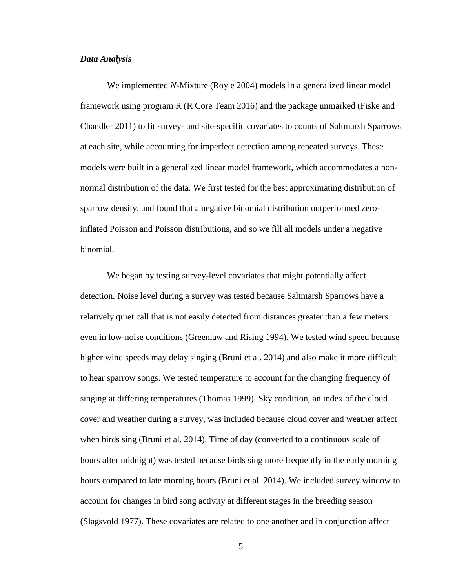#### *Data Analysis*

We implemented *N*-Mixture (Royle 2004) models in a generalized linear model framework using program R (R Core Team 2016) and the package unmarked (Fiske and Chandler 2011) to fit survey- and site-specific covariates to counts of Saltmarsh Sparrows at each site, while accounting for imperfect detection among repeated surveys. These models were built in a generalized linear model framework, which accommodates a nonnormal distribution of the data. We first tested for the best approximating distribution of sparrow density, and found that a negative binomial distribution outperformed zeroinflated Poisson and Poisson distributions, and so we fill all models under a negative binomial.

We began by testing survey-level covariates that might potentially affect detection. Noise level during a survey was tested because Saltmarsh Sparrows have a relatively quiet call that is not easily detected from distances greater than a few meters even in low-noise conditions (Greenlaw and Rising 1994). We tested wind speed because higher wind speeds may delay singing (Bruni et al. 2014) and also make it more difficult to hear sparrow songs. We tested temperature to account for the changing frequency of singing at differing temperatures (Thomas 1999). Sky condition, an index of the cloud cover and weather during a survey, was included because cloud cover and weather affect when birds sing (Bruni et al. 2014). Time of day (converted to a continuous scale of hours after midnight) was tested because birds sing more frequently in the early morning hours compared to late morning hours (Bruni et al. 2014). We included survey window to account for changes in bird song activity at different stages in the breeding season (Slagsvold 1977). These covariates are related to one another and in conjunction affect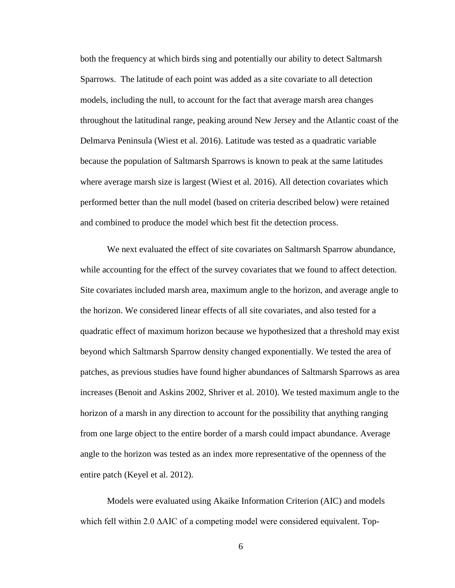both the frequency at which birds sing and potentially our ability to detect Saltmarsh Sparrows. The latitude of each point was added as a site covariate to all detection models, including the null, to account for the fact that average marsh area changes throughout the latitudinal range, peaking around New Jersey and the Atlantic coast of the Delmarva Peninsula (Wiest et al. 2016). Latitude was tested as a quadratic variable because the population of Saltmarsh Sparrows is known to peak at the same latitudes where average marsh size is largest (Wiest et al. 2016). All detection covariates which performed better than the null model (based on criteria described below) were retained and combined to produce the model which best fit the detection process.

We next evaluated the effect of site covariates on Saltmarsh Sparrow abundance, while accounting for the effect of the survey covariates that we found to affect detection. Site covariates included marsh area, maximum angle to the horizon, and average angle to the horizon. We considered linear effects of all site covariates, and also tested for a quadratic effect of maximum horizon because we hypothesized that a threshold may exist beyond which Saltmarsh Sparrow density changed exponentially. We tested the area of patches, as previous studies have found higher abundances of Saltmarsh Sparrows as area increases (Benoit and Askins 2002, Shriver et al. 2010). We tested maximum angle to the horizon of a marsh in any direction to account for the possibility that anything ranging from one large object to the entire border of a marsh could impact abundance. Average angle to the horizon was tested as an index more representative of the openness of the entire patch (Keyel et al. 2012).

Models were evaluated using Akaike Information Criterion (AIC) and models which fell within 2.0 ∆AIC of a competing model were considered equivalent. Top-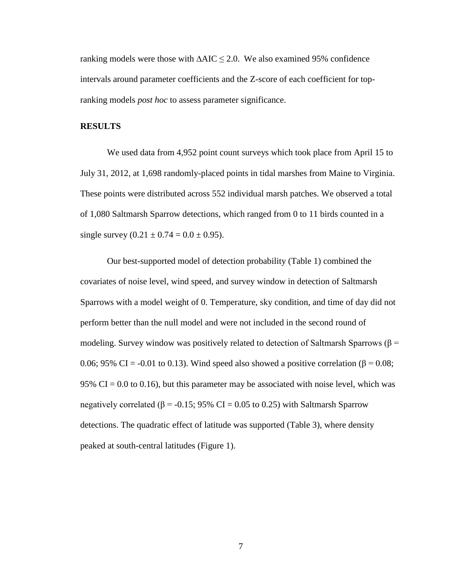ranking models were those with ∆AIC ≤ 2.0. We also examined 95% confidence intervals around parameter coefficients and the Z-score of each coefficient for topranking models *post hoc* to assess parameter significance.

#### **RESULTS**

We used data from 4,952 point count surveys which took place from April 15 to July 31, 2012, at 1,698 randomly-placed points in tidal marshes from Maine to Virginia. These points were distributed across 552 individual marsh patches. We observed a total of 1,080 Saltmarsh Sparrow detections, which ranged from 0 to 11 birds counted in a single survey  $(0.21 \pm 0.74 = 0.0 \pm 0.95)$ .

Our best-supported model of detection probability (Table 1) combined the covariates of noise level, wind speed, and survey window in detection of Saltmarsh Sparrows with a model weight of 0. Temperature, sky condition, and time of day did not perform better than the null model and were not included in the second round of modeling. Survey window was positively related to detection of Saltmarsh Sparrows ( $\beta$  = 0.06; 95% CI = -0.01 to 0.13). Wind speed also showed a positive correlation (β = 0.08; 95% CI = 0.0 to 0.16), but this parameter may be associated with noise level, which was negatively correlated ( $\beta$  = -0.15; 95% CI = 0.05 to 0.25) with Saltmarsh Sparrow detections. The quadratic effect of latitude was supported (Table 3), where density peaked at south-central latitudes (Figure 1).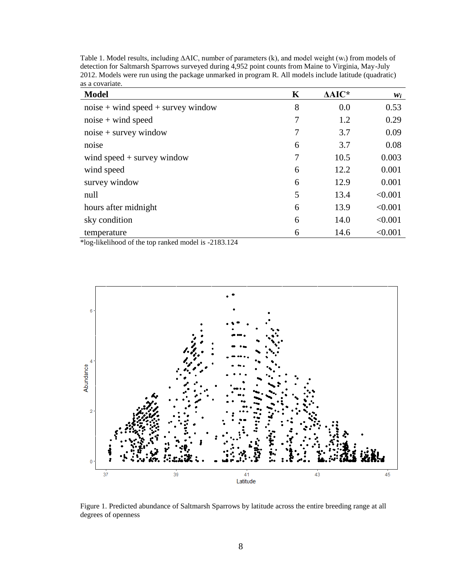| <b>Model</b>                         | K | $\Delta AIC^*$ | $w_i$   |
|--------------------------------------|---|----------------|---------|
| $noise + wind speed + survey window$ | 8 | 0.0            | 0.53    |
| $noise + wind speed$                 | 7 | 1.2            | 0.29    |
| $noise + survey$ window              | 7 | 3.7            | 0.09    |
| noise                                | 6 | 3.7            | 0.08    |
| wind speed $+$ survey window         | 7 | 10.5           | 0.003   |
| wind speed                           | 6 | 12.2           | 0.001   |
| survey window                        | 6 | 12.9           | 0.001   |
| null                                 | 5 | 13.4           | < 0.001 |
| hours after midnight                 | 6 | 13.9           | < 0.001 |
| sky condition                        | 6 | 14.0           | < 0.001 |
| temperature                          | 6 | 14.6           | < 0.001 |

Table 1. Model results, including ∆AIC, number of parameters (k), and model weight (w<sub>i</sub>) from models of detection for Saltmarsh Sparrows surveyed during 4,952 point counts from Maine to Virginia, May-July 2012. Models were run using the package unmarked in program R. All models include latitude (quadratic) as a covariate.

\*log-likelihood of the top ranked model is -2183.124



Figure 1. Predicted abundance of Saltmarsh Sparrows by latitude across the entire breeding range at all degrees of openness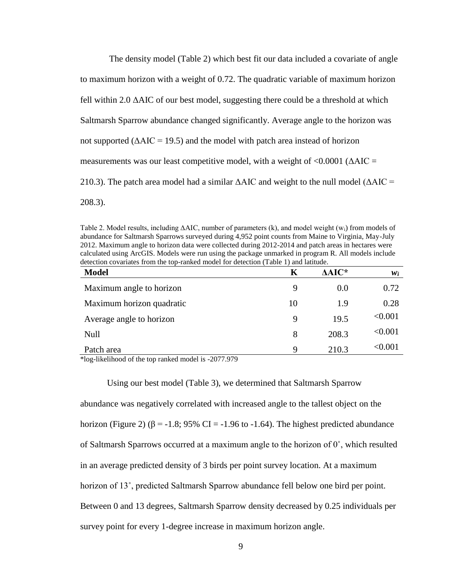The density model (Table 2) which best fit our data included a covariate of angle to maximum horizon with a weight of 0.72. The quadratic variable of maximum horizon fell within 2.0 ΔAIC of our best model, suggesting there could be a threshold at which Saltmarsh Sparrow abundance changed significantly. Average angle to the horizon was not supported  $(AAIC = 19.5)$  and the model with patch area instead of horizon measurements was our least competitive model, with a weight of  $\langle 0.0001 \rangle$  ( $\Delta AIC =$ 210.3). The patch area model had a similar  $\triangle AIC$  and weight to the null model ( $\triangle AIC =$ 208.3).

Table 2. Model results, including ∆AIC, number of parameters (k), and model weight (wi) from models of abundance for Saltmarsh Sparrows surveyed during 4,952 point counts from Maine to Virginia, May-July 2012. Maximum angle to horizon data were collected during 2012-2014 and patch areas in hectares were calculated using ArcGIS. Models were run using the package unmarked in program R. All models include detection covariates from the top-ranked model for detection (Table 1) and latitude.

| <b>Model</b>              | Κ  | AAIC* | $w_i$          |
|---------------------------|----|-------|----------------|
| Maximum angle to horizon  | 9  | 0.0   | 0.72           |
| Maximum horizon quadratic | 10 | 1.9   | 0.28           |
| Average angle to horizon  | 9  | 19.5  | < 0.001        |
| Null                      | 8  | 208.3 | < 0.001        |
| Patch area                | 9  | 210.3 | $< \!\! 0.001$ |

\*log-likelihood of the top ranked model is -2077.979

Using our best model (Table 3), we determined that Saltmarsh Sparrow abundance was negatively correlated with increased angle to the tallest object on the horizon (Figure 2) ( $\beta$  = -1.8; 95% CI = -1.96 to -1.64). The highest predicted abundance of Saltmarsh Sparrows occurred at a maximum angle to the horizon of 0˚, which resulted in an average predicted density of 3 birds per point survey location. At a maximum horizon of 13˚, predicted Saltmarsh Sparrow abundance fell below one bird per point. Between 0 and 13 degrees, Saltmarsh Sparrow density decreased by 0.25 individuals per survey point for every 1-degree increase in maximum horizon angle.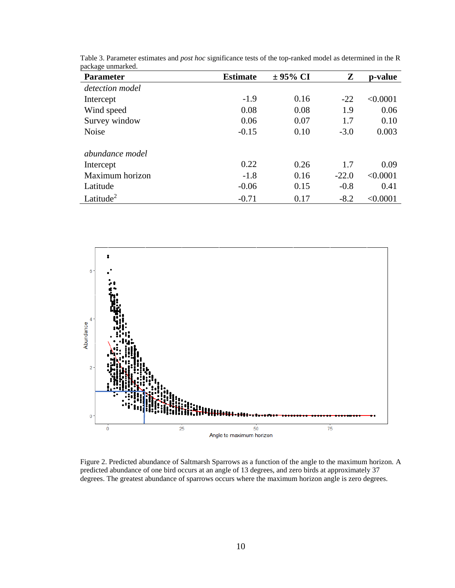| <b>Parameter</b>      | <b>Estimate</b> | $\pm$ 95% CI | Z       | p-value  |
|-----------------------|-----------------|--------------|---------|----------|
| detection model       |                 |              |         |          |
| Intercept             | $-1.9$          | 0.16         | $-22$   | < 0.0001 |
| Wind speed            | 0.08            | 0.08         | 1.9     | 0.06     |
| Survey window         | 0.06            | 0.07         | 1.7     | 0.10     |
| <b>Noise</b>          | $-0.15$         | 0.10         | $-3.0$  | 0.003    |
| abundance model       |                 |              |         |          |
| Intercept             | 0.22            | 0.26         | 1.7     | 0.09     |
| Maximum horizon       | $-1.8$          | 0.16         | $-22.0$ | < 0.0001 |
| Latitude              | $-0.06$         | 0.15         | $-0.8$  | 0.41     |
| Latitude <sup>2</sup> | $-0.71$         | 0.17         | $-8.2$  | < 0.0001 |

Table 3. Parameter estimates and *post hoc* significance tests of the top-ranked model as determined in the R package unmarked.



Figure 2. Predicted abundance of Saltmarsh Sparrows as a function of the angle to the maximum horizon. A predicted abundance of one bird occurs at an angle of 13 degrees, and zero birds at approximately 37 degrees. The greatest abundance of sparrows occurs where the maximum horizon angle is zero degrees.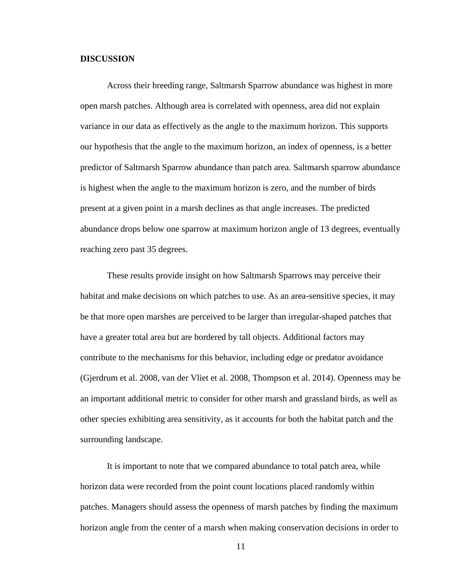#### **DISCUSSION**

Across their breeding range, Saltmarsh Sparrow abundance was highest in more open marsh patches. Although area is correlated with openness, area did not explain variance in our data as effectively as the angle to the maximum horizon. This supports our hypothesis that the angle to the maximum horizon, an index of openness, is a better predictor of Saltmarsh Sparrow abundance than patch area. Saltmarsh sparrow abundance is highest when the angle to the maximum horizon is zero, and the number of birds present at a given point in a marsh declines as that angle increases. The predicted abundance drops below one sparrow at maximum horizon angle of 13 degrees, eventually reaching zero past 35 degrees.

These results provide insight on how Saltmarsh Sparrows may perceive their habitat and make decisions on which patches to use. As an area-sensitive species, it may be that more open marshes are perceived to be larger than irregular-shaped patches that have a greater total area but are bordered by tall objects. Additional factors may contribute to the mechanisms for this behavior, including edge or predator avoidance (Gjerdrum et al. 2008, van der Vliet et al. 2008, Thompson et al. 2014). Openness may be an important additional metric to consider for other marsh and grassland birds, as well as other species exhibiting area sensitivity, as it accounts for both the habitat patch and the surrounding landscape.

It is important to note that we compared abundance to total patch area, while horizon data were recorded from the point count locations placed randomly within patches. Managers should assess the openness of marsh patches by finding the maximum horizon angle from the center of a marsh when making conservation decisions in order to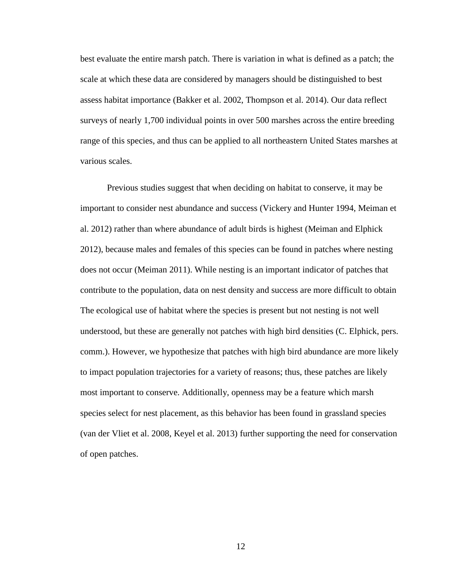best evaluate the entire marsh patch. There is variation in what is defined as a patch; the scale at which these data are considered by managers should be distinguished to best assess habitat importance (Bakker et al. 2002, Thompson et al. 2014). Our data reflect surveys of nearly 1,700 individual points in over 500 marshes across the entire breeding range of this species, and thus can be applied to all northeastern United States marshes at various scales.

Previous studies suggest that when deciding on habitat to conserve, it may be important to consider nest abundance and success (Vickery and Hunter 1994, Meiman et al. 2012) rather than where abundance of adult birds is highest (Meiman and Elphick 2012), because males and females of this species can be found in patches where nesting does not occur (Meiman 2011). While nesting is an important indicator of patches that contribute to the population, data on nest density and success are more difficult to obtain The ecological use of habitat where the species is present but not nesting is not well understood, but these are generally not patches with high bird densities (C. Elphick, pers. comm.). However, we hypothesize that patches with high bird abundance are more likely to impact population trajectories for a variety of reasons; thus, these patches are likely most important to conserve. Additionally, openness may be a feature which marsh species select for nest placement, as this behavior has been found in grassland species (van der Vliet et al. 2008, Keyel et al. 2013) further supporting the need for conservation of open patches.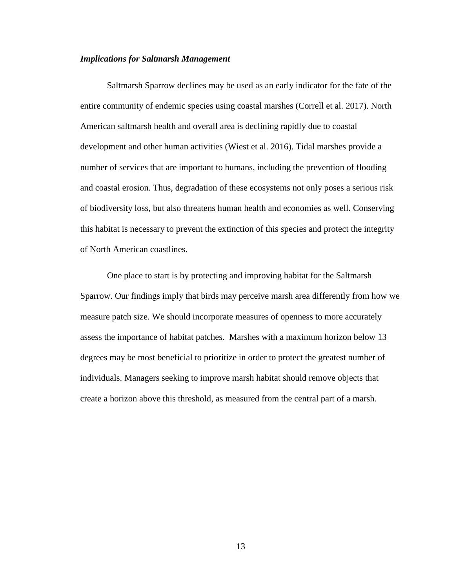#### *Implications for Saltmarsh Management*

Saltmarsh Sparrow declines may be used as an early indicator for the fate of the entire community of endemic species using coastal marshes (Correll et al. 2017). North American saltmarsh health and overall area is declining rapidly due to coastal development and other human activities (Wiest et al. 2016). Tidal marshes provide a number of services that are important to humans, including the prevention of flooding and coastal erosion. Thus, degradation of these ecosystems not only poses a serious risk of biodiversity loss, but also threatens human health and economies as well. Conserving this habitat is necessary to prevent the extinction of this species and protect the integrity of North American coastlines.

One place to start is by protecting and improving habitat for the Saltmarsh Sparrow. Our findings imply that birds may perceive marsh area differently from how we measure patch size. We should incorporate measures of openness to more accurately assess the importance of habitat patches. Marshes with a maximum horizon below 13 degrees may be most beneficial to prioritize in order to protect the greatest number of individuals. Managers seeking to improve marsh habitat should remove objects that create a horizon above this threshold, as measured from the central part of a marsh.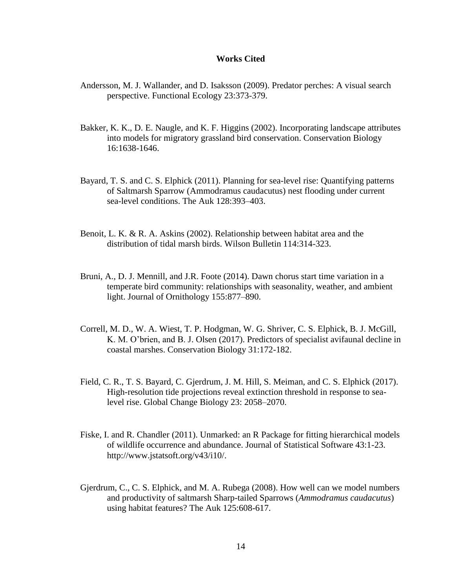#### **Works Cited**

- Andersson, M. J. Wallander, and D. Isaksson (2009). Predator perches: A visual search perspective. Functional Ecology 23:373-379.
- Bakker, K. K., D. E. Naugle, and K. F. Higgins (2002). Incorporating landscape attributes into models for migratory grassland bird conservation. Conservation Biology 16:1638-1646.
- Bayard, T. S. and C. S. Elphick (2011). Planning for sea-level rise: Quantifying patterns of Saltmarsh Sparrow (Ammodramus caudacutus) nest flooding under current sea-level conditions. The Auk 128:393–403.
- Benoit, L. K. & R. A. Askins (2002). Relationship between habitat area and the distribution of tidal marsh birds. Wilson Bulletin 114:314-323.
- Bruni, A., D. J. Mennill, and J.R. Foote (2014). Dawn chorus start time variation in a temperate bird community: relationships with seasonality, weather, and ambient light. Journal of Ornithology 155:877–890.
- Correll, M. D., W. A. Wiest, T. P. Hodgman, W. G. Shriver, C. S. Elphick, B. J. McGill, K. M. O'brien, and B. J. Olsen (2017). Predictors of specialist avifaunal decline in coastal marshes. Conservation Biology 31:172-182.
- Field, C. R., T. S. Bayard, C. Gjerdrum, J. M. Hill, S. Meiman, and C. S. Elphick (2017). High-resolution tide projections reveal extinction threshold in response to sealevel rise. Global Change Biology 23: 2058–2070.
- Fiske, I. and R. Chandler (2011). Unmarked: an R Package for fitting hierarchical models of wildlife occurrence and abundance. Journal of Statistical Software 43:1-23. http://www.jstatsoft.org/v43/i10/.
- Gjerdrum, C., C. S. Elphick, and M. A. Rubega (2008). How well can we model numbers and productivity of saltmarsh Sharp-tailed Sparrows (*Ammodramus caudacutus*) using habitat features? The Auk 125:608-617.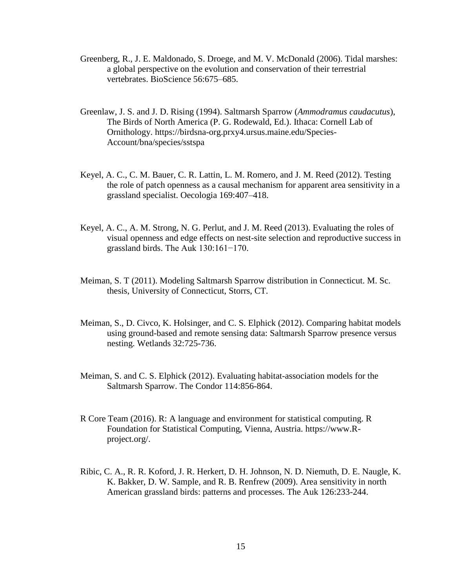- Greenberg, R., J. E. Maldonado, S. Droege, and M. V. McDonald (2006). Tidal marshes: a global perspective on the evolution and conservation of their terrestrial vertebrates. BioScience 56:675–685.
- Greenlaw, J. S. and J. D. Rising (1994). Saltmarsh Sparrow (*Ammodramus caudacutus*), The Birds of North America (P. G. Rodewald, Ed.). Ithaca: Cornell Lab of Ornithology. https://birdsna-org.prxy4.ursus.maine.edu/Species-Account/bna/species/sstspa
- Keyel, A. C., C. M. Bauer, C. R. Lattin, L. M. Romero, and J. M. Reed (2012). Testing the role of patch openness as a causal mechanism for apparent area sensitivity in a grassland specialist. Oecologia 169:407–418.
- Keyel, A. C., A. M. Strong, N. G. Perlut, and J. M. Reed (2013). Evaluating the roles of visual openness and edge effects on nest-site selection and reproductive success in grassland birds. The Auk 130:161−170.
- Meiman, S. T (2011). Modeling Saltmarsh Sparrow distribution in Connecticut. M. Sc. thesis, University of Connecticut, Storrs, CT.
- Meiman, S., D. Civco, K. Holsinger, and C. S. Elphick (2012). Comparing habitat models using ground-based and remote sensing data: Saltmarsh Sparrow presence versus nesting. Wetlands 32:725-736.
- Meiman, S. and C. S. Elphick (2012). Evaluating habitat-association models for the Saltmarsh Sparrow. The Condor 114:856-864.
- R Core Team (2016). R: A language and environment for statistical computing. R Foundation for Statistical Computing, Vienna, Austria. https://www.Rproject.org/.
- Ribic, C. A., R. R. Koford, J. R. Herkert, D. H. Johnson, N. D. Niemuth, D. E. Naugle, K. K. Bakker, D. W. Sample, and R. B. Renfrew (2009). Area sensitivity in north American grassland birds: patterns and processes. The Auk 126:233-244.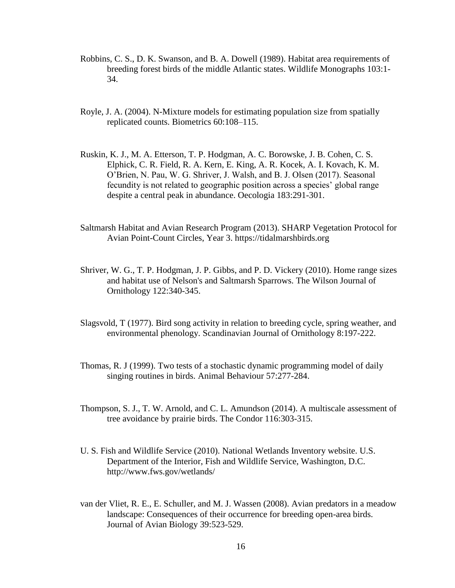- Robbins, C. S., D. K. Swanson, and B. A. Dowell (1989). Habitat area requirements of breeding forest birds of the middle Atlantic states. Wildlife Monographs 103:1- 34.
- Royle, J. A. (2004). N-Mixture models for estimating population size from spatially replicated counts. Biometrics 60:108–115.
- Ruskin, K. J., M. A. Etterson, T. P. Hodgman, A. C. Borowske, J. B. Cohen, C. S. Elphick, C. R. Field, R. A. Kern, E. King, A. R. Kocek, A. I. Kovach, K. M. O'Brien, N. Pau, W. G. Shriver, J. Walsh, and B. J. Olsen (2017). Seasonal fecundity is not related to geographic position across a species' global range despite a central peak in abundance. Oecologia 183:291-301.
- Saltmarsh Habitat and Avian Research Program (2013). SHARP Vegetation Protocol for Avian Point-Count Circles, Year 3. https://tidalmarshbirds.org
- Shriver, W. G., T. P. Hodgman, J. P. Gibbs, and P. D. Vickery (2010). Home range sizes and habitat use of Nelson's and Saltmarsh Sparrows. The Wilson Journal of Ornithology 122:340-345.
- Slagsvold, T (1977). Bird song activity in relation to breeding cycle, spring weather, and environmental phenology. Scandinavian Journal of Ornithology 8:197-222.
- Thomas, R. J (1999). Two tests of a stochastic dynamic programming model of daily singing routines in birds. Animal Behaviour 57:277-284.
- Thompson, S. J., T. W. Arnold, and C. L. Amundson (2014). A multiscale assessment of tree avoidance by prairie birds. The Condor 116:303-315.
- U. S. Fish and Wildlife Service (2010). National Wetlands Inventory website. U.S. Department of the Interior, Fish and Wildlife Service, Washington, D.C. http://www.fws.gov/wetlands/
- van der Vliet, R. E., E. Schuller, and M. J. Wassen (2008). Avian predators in a meadow landscape: Consequences of their occurrence for breeding open-area birds. Journal of Avian Biology 39:523-529.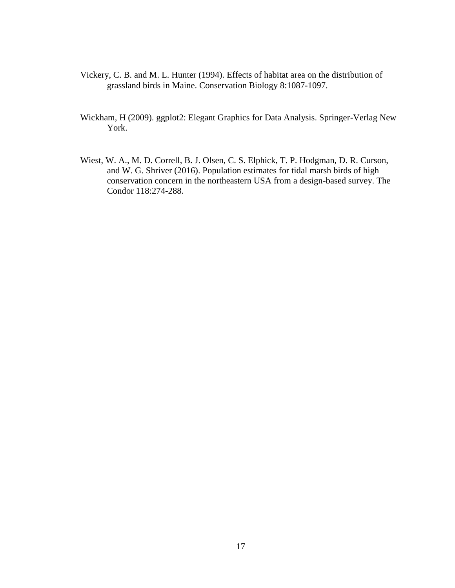- Vickery, C. B. and M. L. Hunter (1994). Effects of habitat area on the distribution of grassland birds in Maine. Conservation Biology 8:1087-1097.
- Wickham, H (2009). ggplot2: Elegant Graphics for Data Analysis. Springer-Verlag New York.
- Wiest, W. A., M. D. Correll, B. J. Olsen, C. S. Elphick, T. P. Hodgman, D. R. Curson, and W. G. Shriver (2016). Population estimates for tidal marsh birds of high conservation concern in the northeastern USA from a design-based survey. The Condor 118:274-288.